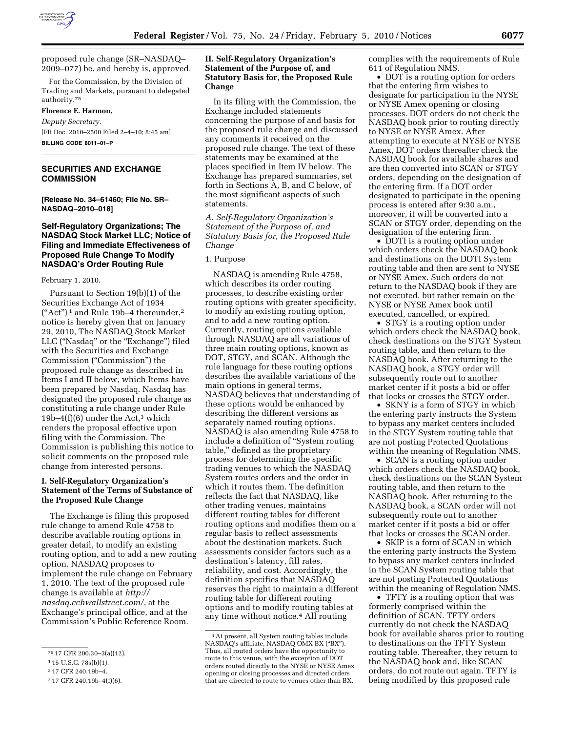

proposed rule change (SR–NASDAQ– 2009–077) be, and hereby is, approved.

For the Commission, by the Division of Trading and Markets, pursuant to delegated authority.75

### **Florence E. Harmon,**

*Deputy Secretary.*  [FR Doc. 2010–2500 Filed 2–4–10; 8:45 am] **BILLING CODE 8011–01–P** 

# **SECURITIES AND EXCHANGE COMMISSION**

**[Release No. 34–61460; File No. SR– NASDAQ–2010–018]** 

# **Self-Regulatory Organizations; The NASDAQ Stock Market LLC; Notice of Filing and Immediate Effectiveness of Proposed Rule Change To Modify NASDAQ's Order Routing Rule**

#### February 1, 2010.

Pursuant to Section 19(b)(1) of the Securities Exchange Act of 1934  $("Act")^1$  and Rule 19b-4 thereunder,<sup>2</sup> notice is hereby given that on January 29, 2010, The NASDAQ Stock Market LLC ("Nasdaq" or the "Exchange") filed with the Securities and Exchange Commission (''Commission'') the proposed rule change as described in Items I and II below, which Items have been prepared by Nasdaq. Nasdaq has designated the proposed rule change as constituting a rule change under Rule 19b–4 $(f)(6)$  under the Act,<sup>3</sup> which renders the proposal effective upon filing with the Commission. The Commission is publishing this notice to solicit comments on the proposed rule change from interested persons.

### **I. Self-Regulatory Organization's Statement of the Terms of Substance of the Proposed Rule Change**

The Exchange is filing this proposed rule change to amend Rule 4758 to describe available routing options in greater detail, to modify an existing routing option, and to add a new routing option. NASDAQ proposes to implement the rule change on February 1, 2010. The text of the proposed rule change is available at *http:// nasdaq.cchwallstreet.com/*, at the Exchange's principal office, and at the Commission's Public Reference Room.

### **II. Self-Regulatory Organization's Statement of the Purpose of, and Statutory Basis for, the Proposed Rule Change**

In its filing with the Commission, the Exchange included statements concerning the purpose of and basis for the proposed rule change and discussed any comments it received on the proposed rule change. The text of these statements may be examined at the places specified in Item IV below. The Exchange has prepared summaries, set forth in Sections A, B, and C below, of the most significant aspects of such statements.

*A. Self-Regulatory Organization's Statement of the Purpose of, and Statutory Basis for, the Proposed Rule Change* 

## 1. Purpose

NASDAQ is amending Rule 4758, which describes its order routing processes, to describe existing order routing options with greater specificity, to modify an existing routing option, and to add a new routing option. Currently, routing options available through NASDAQ are all variations of three main routing options, known as DOT, STGY, and SCAN. Although the rule language for these routing options describes the available variations of the main options in general terms, NASDAQ believes that understanding of these options would be enhanced by describing the different versions as separately named routing options. NASDAQ is also amending Rule 4758 to include a definition of ''System routing table,'' defined as the proprietary process for determining the specific trading venues to which the NASDAQ System routes orders and the order in which it routes them. The definition reflects the fact that NASDAQ, like other trading venues, maintains different routing tables for different routing options and modifies them on a regular basis to reflect assessments about the destination markets. Such assessments consider factors such as a destination's latency, fill rates, reliability, and cost. Accordingly, the definition specifies that NASDAQ reserves the right to maintain a different routing table for different routing options and to modify routing tables at any time without notice.<sup>4</sup> All routing

complies with the requirements of Rule 611 of Regulation NMS.

• DOT is a routing option for orders that the entering firm wishes to designate for participation in the NYSE or NYSE Amex opening or closing processes. DOT orders do not check the NASDAQ book prior to routing directly to NYSE or NYSE Amex. After attempting to execute at NYSE or NYSE Amex, DOT orders thereafter check the NASDAQ book for available shares and are then converted into SCAN or STGY orders, depending on the designation of the entering firm. If a DOT order designated to participate in the opening process is entered after 9:30 a.m., moreover, it will be converted into a SCAN or STGY order, depending on the designation of the entering firm.

• DOTI is a routing option under which orders check the NASDAQ book and destinations on the DOTI System routing table and then are sent to NYSE or NYSE Amex. Such orders do not return to the NASDAQ book if they are not executed, but rather remain on the NYSE or NYSE Amex book until executed, cancelled, or expired.

• STGY is a routing option under which orders check the NASDAQ book, check destinations on the STGY System routing table, and then return to the NASDAQ book. After returning to the NASDAQ book, a STGY order will subsequently route out to another market center if it posts a bid or offer that locks or crosses the STGY order.

• SKNY is a form of STGY in which the entering party instructs the System to bypass any market centers included in the STGY System routing table that are not posting Protected Quotations within the meaning of Regulation NMS.

• SCAN is a routing option under which orders check the NASDAQ book, check destinations on the SCAN System routing table, and then return to the NASDAQ book. After returning to the NASDAQ book, a SCAN order will not subsequently route out to another market center if it posts a bid or offer that locks or crosses the SCAN order.

• SKIP is a form of SCAN in which the entering party instructs the System to bypass any market centers included in the SCAN System routing table that are not posting Protected Quotations within the meaning of Regulation NMS.

• TFTY is a routing option that was formerly comprised within the definition of SCAN. TFTY orders currently do not check the NASDAQ book for available shares prior to routing to destinations on the TFTY System routing table. Thereafter, they return to the NASDAQ book and, like SCAN orders, do not route out again. TFTY is being modified by this proposed rule

<sup>75</sup> 17 CFR 200.30–3(a)(12).

 $115$  U.S.C. 78s(b)(1).

<sup>2</sup> 17 CFR 240.19b–4.

<sup>3</sup> 17 CFR 240.19b–4(f)(6).

<sup>4</sup>At present, all System routing tables include NASDAQ's affiliate, NASDAQ OMX BX (''BX''). Thus, all routed orders have the opportunity to route to this venue, with the exception of DOT orders routed directly to the NYSE or NYSE Amex opening or closing processes and directed orders that are directed to route to venues other than BX.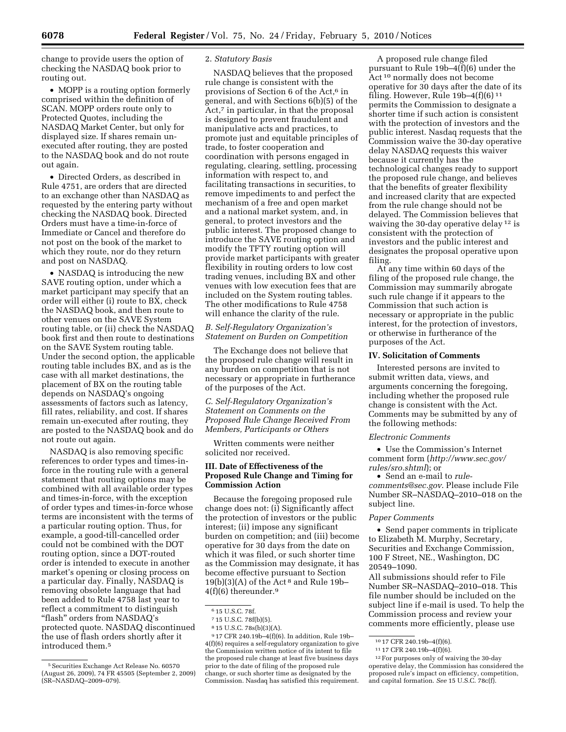change to provide users the option of checking the NASDAQ book prior to routing out.

• MOPP is a routing option formerly comprised within the definition of SCAN. MOPP orders route only to Protected Quotes, including the NASDAQ Market Center, but only for displayed size. If shares remain unexecuted after routing, they are posted to the NASDAQ book and do not route out again.

• Directed Orders, as described in Rule 4751, are orders that are directed to an exchange other than NASDAQ as requested by the entering party without checking the NASDAQ book. Directed Orders must have a time-in-force of Immediate or Cancel and therefore do not post on the book of the market to which they route, nor do they return and post on NASDAQ.

• NASDAQ is introducing the new SAVE routing option, under which a market participant may specify that an order will either (i) route to BX, check the NASDAQ book, and then route to other venues on the SAVE System routing table, or (ii) check the NASDAQ book first and then route to destinations on the SAVE System routing table. Under the second option, the applicable routing table includes BX, and as is the case with all market destinations, the placement of BX on the routing table depends on NASDAQ's ongoing assessments of factors such as latency, fill rates, reliability, and cost. If shares remain un-executed after routing, they are posted to the NASDAQ book and do not route out again.

NASDAQ is also removing specific references to order types and times-inforce in the routing rule with a general statement that routing options may be combined with all available order types and times-in-force, with the exception of order types and times-in-force whose terms are inconsistent with the terms of a particular routing option. Thus, for example, a good-till-cancelled order could not be combined with the DOT routing option, since a DOT-routed order is intended to execute in another market's opening or closing process on a particular day. Finally, NASDAQ is removing obsolete language that had been added to Rule 4758 last year to reflect a commitment to distinguish ''flash'' orders from NASDAQ's protected quote. NASDAQ discontinued the use of flash orders shortly after it introduced them.5

#### 2. *Statutory Basis*

NASDAQ believes that the proposed rule change is consistent with the provisions of Section 6 of the Act,<sup>6</sup> in general, and with Sections 6(b)(5) of the Act,<sup>7</sup> in particular, in that the proposal is designed to prevent fraudulent and manipulative acts and practices, to promote just and equitable principles of trade, to foster cooperation and coordination with persons engaged in regulating, clearing, settling, processing information with respect to, and facilitating transactions in securities, to remove impediments to and perfect the mechanism of a free and open market and a national market system, and, in general, to protect investors and the public interest. The proposed change to introduce the SAVE routing option and modify the TFTY routing option will provide market participants with greater flexibility in routing orders to low cost trading venues, including BX and other venues with low execution fees that are included on the System routing tables. The other modifications to Rule 4758 will enhance the clarity of the rule.

## *B. Self-Regulatory Organization's Statement on Burden on Competition*

The Exchange does not believe that the proposed rule change will result in any burden on competition that is not necessary or appropriate in furtherance of the purposes of the Act.

*C. Self-Regulatory Organization's Statement on Comments on the Proposed Rule Change Received From Members, Participants or Others* 

Written comments were neither solicited nor received.

### **III. Date of Effectiveness of the Proposed Rule Change and Timing for Commission Action**

Because the foregoing proposed rule change does not: (i) Significantly affect the protection of investors or the public interest; (ii) impose any significant burden on competition; and (iii) become operative for 30 days from the date on which it was filed, or such shorter time as the Commission may designate, it has become effective pursuant to Section  $19(b)(3)(A)$  of the Act<sup>8</sup> and Rule 19b- $4(f)(6)$  thereunder.<sup>9</sup>

7 15 U.S.C. 78f(b)(5).

8 15 U.S.C. 78s(b)(3)(A).

9 17 CFR 240.19b–4(f)(6). In addition, Rule 19b– 4(f)(6) requires a self-regulatory organization to give the Commission written notice of its intent to file the proposed rule change at least five business days prior to the date of filing of the proposed rule change, or such shorter time as designated by the Commission. Nasdaq has satisfied this requirement.

A proposed rule change filed pursuant to Rule 19b–4(f)(6) under the Act 10 normally does not become operative for 30 days after the date of its filing. However, Rule  $19b-4(f)(6)^{11}$ permits the Commission to designate a shorter time if such action is consistent with the protection of investors and the public interest. Nasdaq requests that the Commission waive the 30-day operative delay NASDAQ requests this waiver because it currently has the technological changes ready to support the proposed rule change, and believes that the benefits of greater flexibility and increased clarity that are expected from the rule change should not be delayed. The Commission believes that waiving the 30-day operative delay 12 is consistent with the protection of investors and the public interest and designates the proposal operative upon filing.

At any time within 60 days of the filing of the proposed rule change, the Commission may summarily abrogate such rule change if it appears to the Commission that such action is necessary or appropriate in the public interest, for the protection of investors, or otherwise in furtherance of the purposes of the Act.

#### **IV. Solicitation of Comments**

Interested persons are invited to submit written data, views, and arguments concerning the foregoing, including whether the proposed rule change is consistent with the Act. Comments may be submitted by any of the following methods:

#### *Electronic Comments*

• Use the Commission's Internet comment form (*http://www.sec.gov/ rules/sro.shtml*); or

• Send an e-mail to *rulecomments@sec.gov*. Please include File Number SR–NASDAQ–2010–018 on the subject line.

#### *Paper Comments*

• Send paper comments in triplicate to Elizabeth M. Murphy, Secretary, Securities and Exchange Commission, 100 F Street, NE., Washington, DC 20549–1090.

All submissions should refer to File Number SR–NASDAQ–2010–018. This file number should be included on the subject line if e-mail is used. To help the Commission process and review your comments more efficiently, please use

<sup>5</sup>Securities Exchange Act Release No. 60570 (August 26, 2009), 74 FR 45505 (September 2, 2009) (SR–NASDAQ–2009–079).

<sup>6</sup> 15 U.S.C. 78f.

<sup>10</sup> 17 CFR 240.19b–4(f)(6).

<sup>11</sup> 17 CFR 240.19b–4(f)(6).

<sup>12</sup>For purposes only of waiving the 30-day operative delay, the Commission has considered the proposed rule's impact on efficiency, competition, and capital formation. *See* 15 U.S.C. 78c(f).